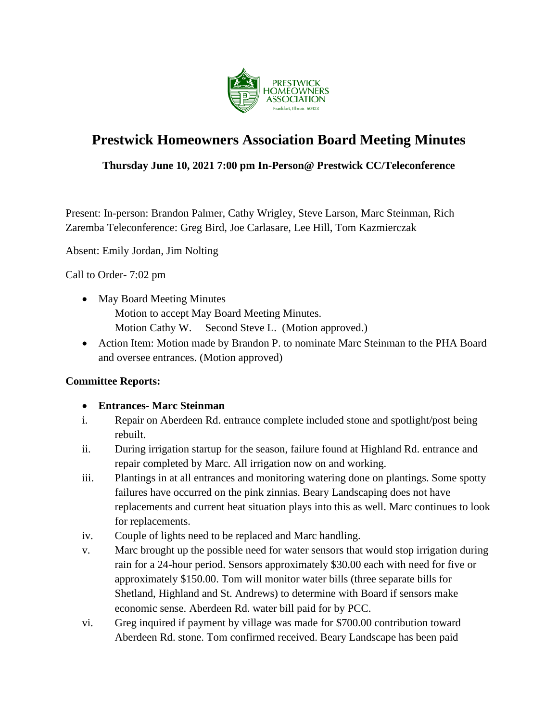

# **Prestwick Homeowners Association Board Meeting Minutes**

## **Thursday June 10, 2021 7:00 pm In-Person@ Prestwick CC/Teleconference**

Present: In-person: Brandon Palmer, Cathy Wrigley, Steve Larson, Marc Steinman, Rich Zaremba Teleconference: Greg Bird, Joe Carlasare, Lee Hill, Tom Kazmierczak

Absent: Emily Jordan, Jim Nolting

Call to Order- 7:02 pm

- May Board Meeting Minutes Motion to accept May Board Meeting Minutes. Motion Cathy W. Second Steve L. (Motion approved.)
- Action Item: Motion made by Brandon P. to nominate Marc Steinman to the PHA Board and oversee entrances. (Motion approved)

#### **Committee Reports:**

- **Entrances- Marc Steinman**
- i. Repair on Aberdeen Rd. entrance complete included stone and spotlight/post being rebuilt.
- ii. During irrigation startup for the season, failure found at Highland Rd. entrance and repair completed by Marc. All irrigation now on and working.
- iii. Plantings in at all entrances and monitoring watering done on plantings. Some spotty failures have occurred on the pink zinnias. Beary Landscaping does not have replacements and current heat situation plays into this as well. Marc continues to look for replacements.
- iv. Couple of lights need to be replaced and Marc handling.
- v. Marc brought up the possible need for water sensors that would stop irrigation during rain for a 24-hour period. Sensors approximately \$30.00 each with need for five or approximately \$150.00. Tom will monitor water bills (three separate bills for Shetland, Highland and St. Andrews) to determine with Board if sensors make economic sense. Aberdeen Rd. water bill paid for by PCC.
- vi. Greg inquired if payment by village was made for \$700.00 contribution toward Aberdeen Rd. stone. Tom confirmed received. Beary Landscape has been paid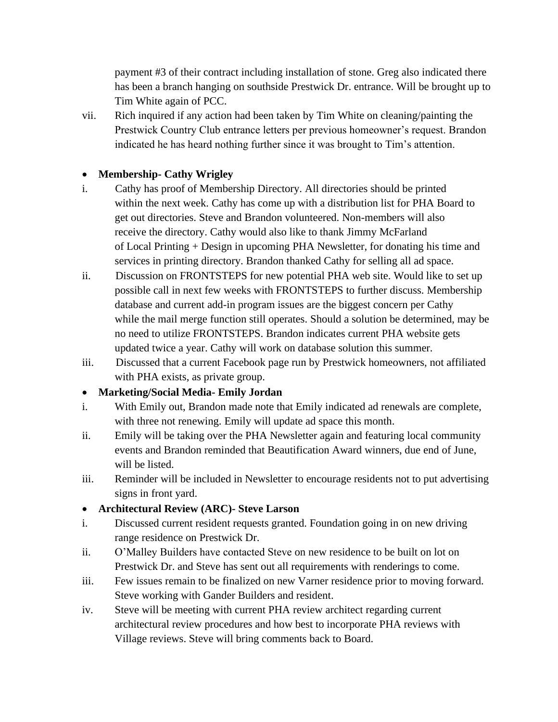payment #3 of their contract including installation of stone. Greg also indicated there has been a branch hanging on southside Prestwick Dr. entrance. Will be brought up to Tim White again of PCC.

vii. Rich inquired if any action had been taken by Tim White on cleaning/painting the Prestwick Country Club entrance letters per previous homeowner's request. Brandon indicated he has heard nothing further since it was brought to Tim's attention.

## • **Membership- Cathy Wrigley**

- i. Cathy has proof of Membership Directory. All directories should be printed within the next week. Cathy has come up with a distribution list for PHA Board to get out directories. Steve and Brandon volunteered. Non-members will also receive the directory. Cathy would also like to thank Jimmy McFarland of Local Printing + Design in upcoming PHA Newsletter, for donating his time and services in printing directory. Brandon thanked Cathy for selling all ad space.
- ii. Discussion on FRONTSTEPS for new potential PHA web site. Would like to set up possible call in next few weeks with FRONTSTEPS to further discuss. Membership database and current add-in program issues are the biggest concern per Cathy while the mail merge function still operates. Should a solution be determined, may be no need to utilize FRONTSTEPS. Brandon indicates current PHA website gets updated twice a year. Cathy will work on database solution this summer.
- iii. Discussed that a current Facebook page run by Prestwick homeowners, not affiliated with PHA exists, as private group.

#### • **Marketing/Social Media- Emily Jordan**

- i. With Emily out, Brandon made note that Emily indicated ad renewals are complete, with three not renewing. Emily will update ad space this month.
- ii. Emily will be taking over the PHA Newsletter again and featuring local community events and Brandon reminded that Beautification Award winners, due end of June, will be listed.
- iii. Reminder will be included in Newsletter to encourage residents not to put advertising signs in front yard.

#### • **Architectural Review (ARC)- Steve Larson**

- i. Discussed current resident requests granted. Foundation going in on new driving range residence on Prestwick Dr.
- ii. O'Malley Builders have contacted Steve on new residence to be built on lot on Prestwick Dr. and Steve has sent out all requirements with renderings to come.
- iii. Few issues remain to be finalized on new Varner residence prior to moving forward. Steve working with Gander Builders and resident.
- iv. Steve will be meeting with current PHA review architect regarding current architectural review procedures and how best to incorporate PHA reviews with Village reviews. Steve will bring comments back to Board.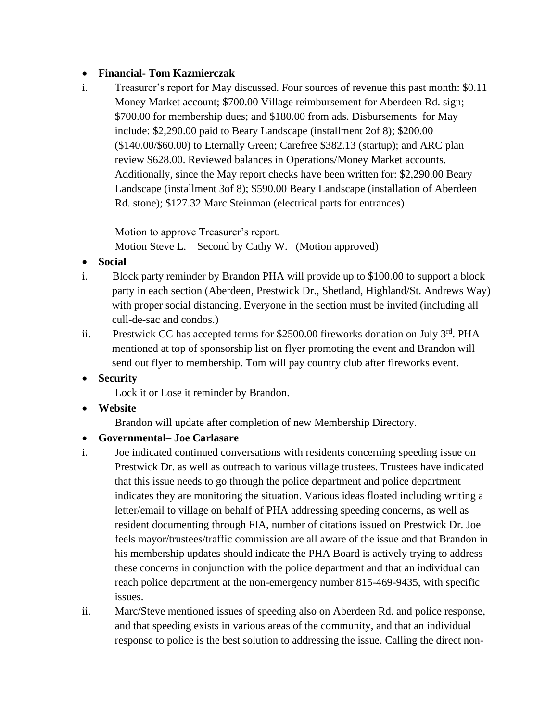#### • **Financial- Tom Kazmierczak**

i. Treasurer's report for May discussed. Four sources of revenue this past month: \$0.11 Money Market account; \$700.00 Village reimbursement for Aberdeen Rd. sign; \$700.00 for membership dues; and \$180.00 from ads. Disbursements for May include: \$2,290.00 paid to Beary Landscape (installment 2of 8); \$200.00 (\$140.00/\$60.00) to Eternally Green; Carefree \$382.13 (startup); and ARC plan review \$628.00. Reviewed balances in Operations/Money Market accounts. Additionally, since the May report checks have been written for: \$2,290.00 Beary Landscape (installment 3of 8); \$590.00 Beary Landscape (installation of Aberdeen Rd. stone); \$127.32 Marc Steinman (electrical parts for entrances)

Motion to approve Treasurer's report. Motion Steve L. Second by Cathy W. (Motion approved)

- **Social**
- i. Block party reminder by Brandon PHA will provide up to \$100.00 to support a block party in each section (Aberdeen, Prestwick Dr., Shetland, Highland/St. Andrews Way) with proper social distancing. Everyone in the section must be invited (including all cull-de-sac and condos.)
- ii. Prestwick CC has accepted terms for \$2500.00 fireworks donation on July 3<sup>rd</sup>. PHA mentioned at top of sponsorship list on flyer promoting the event and Brandon will send out flyer to membership. Tom will pay country club after fireworks event.
- **Security**

Lock it or Lose it reminder by Brandon.

• **Website** 

Brandon will update after completion of new Membership Directory.

- **Governmental– Joe Carlasare**
- i. Joe indicated continued conversations with residents concerning speeding issue on Prestwick Dr. as well as outreach to various village trustees. Trustees have indicated that this issue needs to go through the police department and police department indicates they are monitoring the situation. Various ideas floated including writing a letter/email to village on behalf of PHA addressing speeding concerns, as well as resident documenting through FIA, number of citations issued on Prestwick Dr. Joe feels mayor/trustees/traffic commission are all aware of the issue and that Brandon in his membership updates should indicate the PHA Board is actively trying to address these concerns in conjunction with the police department and that an individual can reach police department at the non-emergency number 815-469-9435, with specific issues.
- ii. Marc/Steve mentioned issues of speeding also on Aberdeen Rd. and police response, and that speeding exists in various areas of the community, and that an individual response to police is the best solution to addressing the issue. Calling the direct non-